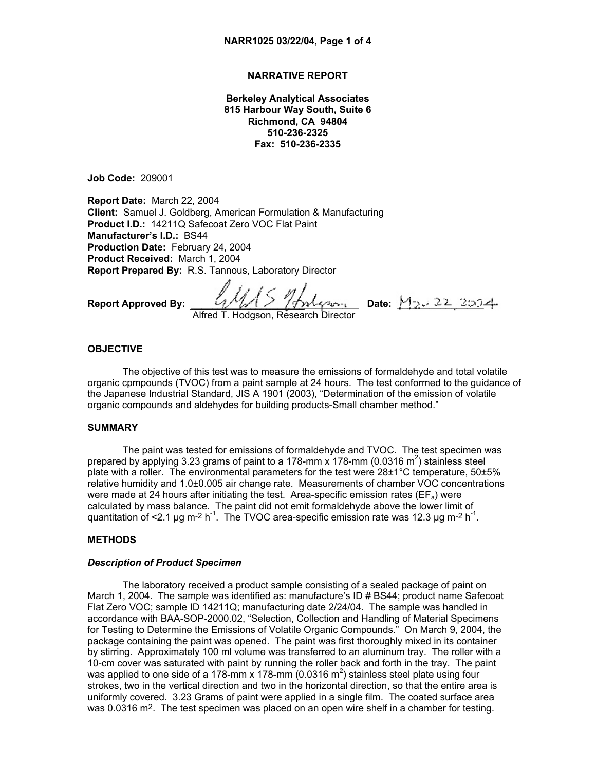## **NARRATIVE REPORT**

**Berkeley Analytical Associates 815 Harbour Way South, Suite 6 Richmond, CA 94804 510-236-2325 Fax: 510-236-2335** 

**Job Code:** 209001

**Report Date:** March 22, 2004 **Client:** Samuel J. Goldberg, American Formulation & Manufacturing **Product I.D.:** 14211Q Safecoat Zero VOC Flat Paint **Manufacturer's I.D.:** BS44 **Production Date:** February 24, 2004 **Product Received:** March 1, 2004 **Report Prepared By:** R.S. Tannous, Laboratory Director

**Report Approved By:** \_\_\_\_\_\_\_\_\_\_\_\_\_\_\_\_\_\_\_\_\_\_\_\_\_\_\_\_\_\_\_ **Date:** \_\_\_\_\_\_\_\_\_\_\_\_\_\_\_\_

Alfred T. Hodgson, Research Director

#### **OBJECTIVE**

The objective of this test was to measure the emissions of formaldehyde and total volatile organic cpmpounds (TVOC) from a paint sample at 24 hours. The test conformed to the guidance of the Japanese Industrial Standard, JIS A 1901 (2003), "Determination of the emission of volatile organic compounds and aldehydes for building products-Small chamber method."

## **SUMMARY**

The paint was tested for emissions of formaldehyde and TVOC. The test specimen was prepared by applying 3.23 grams of paint to a 178-mm x 178-mm (0.0316 m<sup>2</sup>) stainless steel plate with a roller. The environmental parameters for the test were 28±1°C temperature, 50±5% relative humidity and 1.0±0.005 air change rate. Measurements of chamber VOC concentrations were made at 24 hours after initiating the test. Area-specific emission rates ( $EF_a$ ) were calculated by mass balance. The paint did not emit formaldehyde above the lower limit of quantitation of <2.1 µg m<sup>-2</sup> h<sup>-1</sup>. The TVOC area-specific emission rate was 12.3 µg m<sup>-2</sup> h<sup>-1</sup>.

#### **METHODS**

## *Description of Product Specimen*

The laboratory received a product sample consisting of a sealed package of paint on March 1, 2004. The sample was identified as: manufacture's ID # BS44; product name Safecoat Flat Zero VOC; sample ID 14211Q; manufacturing date 2/24/04. The sample was handled in accordance with BAA-SOP-2000.02, "Selection, Collection and Handling of Material Specimens for Testing to Determine the Emissions of Volatile Organic Compounds." On March 9, 2004, the package containing the paint was opened. The paint was first thoroughly mixed in its container by stirring. Approximately 100 ml volume was transferred to an aluminum tray. The roller with a 10-cm cover was saturated with paint by running the roller back and forth in the tray. The paint was applied to one side of a 178-mm x 178-mm (0.0316 m<sup>2</sup>) stainless steel plate using four strokes, two in the vertical direction and two in the horizontal direction, so that the entire area is uniformly covered. 3.23 Grams of paint were applied in a single film. The coated surface area was 0.0316 m2. The test specimen was placed on an open wire shelf in a chamber for testing.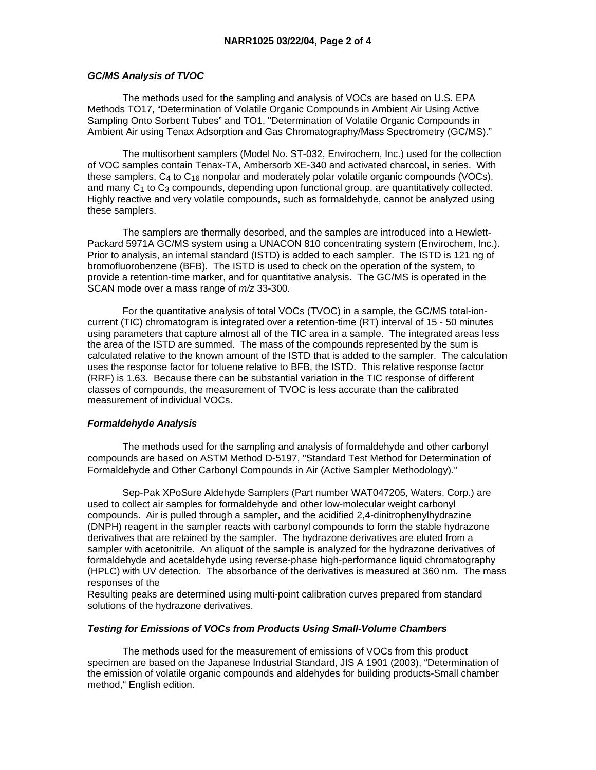### *GC/MS Analysis of TVOC*

 The methods used for the sampling and analysis of VOCs are based on U.S. EPA Methods TO17, "Determination of Volatile Organic Compounds in Ambient Air Using Active Sampling Onto Sorbent Tubes" and TO1, "Determination of Volatile Organic Compounds in Ambient Air using Tenax Adsorption and Gas Chromatography/Mass Spectrometry (GC/MS)."

 The multisorbent samplers (Model No. ST-032, Envirochem, Inc.) used for the collection of VOC samples contain Tenax-TA, Ambersorb XE-340 and activated charcoal, in series. With these samplers,  $C_4$  to  $C_{16}$  nonpolar and moderately polar volatile organic compounds (VOCs), and many  $C_1$  to  $C_3$  compounds, depending upon functional group, are quantitatively collected. Highly reactive and very volatile compounds, such as formaldehyde, cannot be analyzed using these samplers.

 The samplers are thermally desorbed, and the samples are introduced into a Hewlett-Packard 5971A GC/MS system using a UNACON 810 concentrating system (Envirochem, Inc.). Prior to analysis, an internal standard (ISTD) is added to each sampler. The ISTD is 121 ng of bromofluorobenzene (BFB). The ISTD is used to check on the operation of the system, to provide a retention-time marker, and for quantitative analysis. The GC/MS is operated in the SCAN mode over a mass range of *m/z* 33-300.

 For the quantitative analysis of total VOCs (TVOC) in a sample, the GC/MS total-ioncurrent (TIC) chromatogram is integrated over a retention-time (RT) interval of 15 - 50 minutes using parameters that capture almost all of the TIC area in a sample. The integrated areas less the area of the ISTD are summed. The mass of the compounds represented by the sum is calculated relative to the known amount of the ISTD that is added to the sampler. The calculation uses the response factor for toluene relative to BFB, the ISTD. This relative response factor (RRF) is 1.63. Because there can be substantial variation in the TIC response of different classes of compounds, the measurement of TVOC is less accurate than the calibrated measurement of individual VOCs.

## *Formaldehyde Analysis*

 The methods used for the sampling and analysis of formaldehyde and other carbonyl compounds are based on ASTM Method D-5197, "Standard Test Method for Determination of Formaldehyde and Other Carbonyl Compounds in Air (Active Sampler Methodology)."

 Sep-Pak XPoSure Aldehyde Samplers (Part number WAT047205, Waters, Corp.) are used to collect air samples for formaldehyde and other low-molecular weight carbonyl compounds. Air is pulled through a sampler, and the acidified 2,4-dinitrophenylhydrazine (DNPH) reagent in the sampler reacts with carbonyl compounds to form the stable hydrazone derivatives that are retained by the sampler. The hydrazone derivatives are eluted from a sampler with acetonitrile. An aliquot of the sample is analyzed for the hydrazone derivatives of formaldehyde and acetaldehyde using reverse-phase high-performance liquid chromatography (HPLC) with UV detection. The absorbance of the derivatives is measured at 360 nm. The mass responses of the

Resulting peaks are determined using multi-point calibration curves prepared from standard solutions of the hydrazone derivatives.

## *Testing for Emissions of VOCs from Products Using Small-Volume Chambers*

 The methods used for the measurement of emissions of VOCs from this product specimen are based on the Japanese Industrial Standard, JIS A 1901 (2003), "Determination of the emission of volatile organic compounds and aldehydes for building products-Small chamber method," English edition.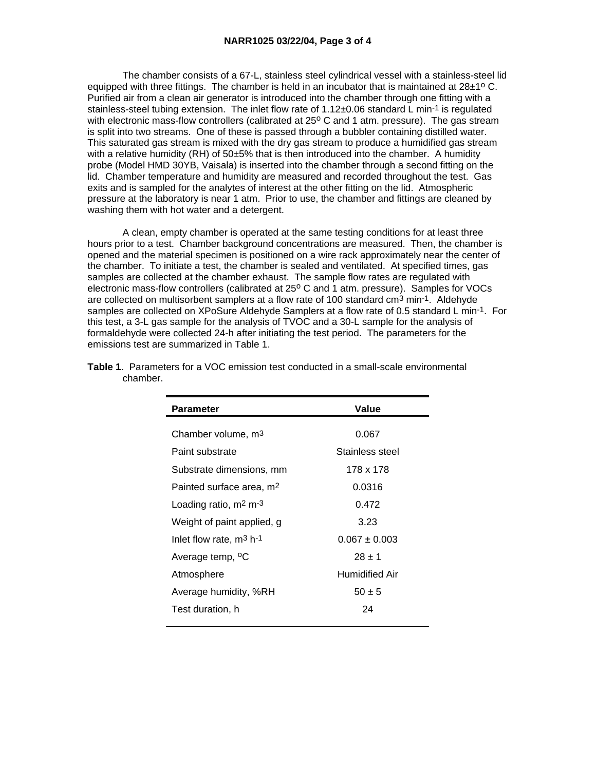The chamber consists of a 67-L, stainless steel cylindrical vessel with a stainless-steel lid equipped with three fittings. The chamber is held in an incubator that is maintained at  $28\pm1^{\circ}$  C. Purified air from a clean air generator is introduced into the chamber through one fitting with a stainless-steel tubing extension. The inlet flow rate of 1.12±0.06 standard L min-1 is regulated with electronic mass-flow controllers (calibrated at  $25^{\circ}$  C and 1 atm. pressure). The gas stream is split into two streams. One of these is passed through a bubbler containing distilled water. This saturated gas stream is mixed with the dry gas stream to produce a humidified gas stream with a relative humidity  $(RH)$  of 50 $\pm$ 5% that is then introduced into the chamber. A humidity probe (Model HMD 30YB, Vaisala) is inserted into the chamber through a second fitting on the lid. Chamber temperature and humidity are measured and recorded throughout the test. Gas exits and is sampled for the analytes of interest at the other fitting on the lid. Atmospheric pressure at the laboratory is near 1 atm. Prior to use, the chamber and fittings are cleaned by washing them with hot water and a detergent.

 A clean, empty chamber is operated at the same testing conditions for at least three hours prior to a test. Chamber background concentrations are measured. Then, the chamber is opened and the material specimen is positioned on a wire rack approximately near the center of the chamber. To initiate a test, the chamber is sealed and ventilated. At specified times, gas samples are collected at the chamber exhaust. The sample flow rates are regulated with electronic mass-flow controllers (calibrated at 25° C and 1 atm. pressure). Samples for VOCs are collected on multisorbent samplers at a flow rate of 100 standard cm<sup>3</sup> min-1. Aldehyde samples are collected on XPoSure Aldehyde Samplers at a flow rate of 0.5 standard L min-1. For this test, a 3-L gas sample for the analysis of TVOC and a 30-L sample for the analysis of formaldehyde were collected 24-h after initiating the test period. The parameters for the emissions test are summarized in Table 1.

| <b>Parameter</b>                     | Value             |
|--------------------------------------|-------------------|
|                                      |                   |
| Chamber volume, m <sup>3</sup>       | 0.067             |
| Paint substrate                      | Stainless steel   |
| Substrate dimensions, mm             | 178 x 178         |
| Painted surface area, m <sup>2</sup> | 0.0316            |
| Loading ratio, $m2 m-3$              | 0.472             |
| Weight of paint applied, g           | 3.23              |
| Inlet flow rate, $m^3$ h-1           | $0.067 \pm 0.003$ |
| Average temp, <sup>o</sup> C         | $28 + 1$          |
| Atmosphere                           | Humidified Air    |
| Average humidity, %RH                | $50 \pm 5$        |
| Test duration, h                     | 24                |
|                                      |                   |

**Table 1**. Parameters for a VOC emission test conducted in a small-scale environmental chamber.